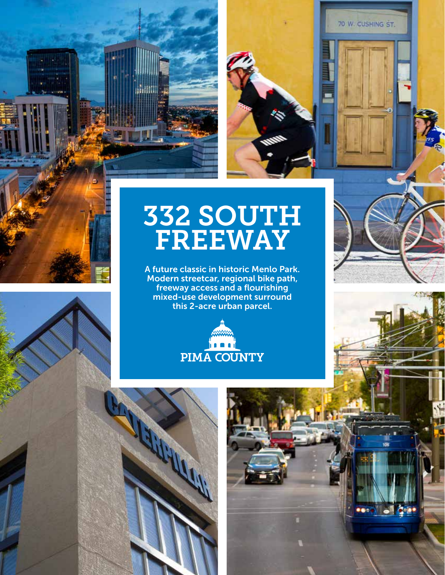



## 332 SOUTH FREEWAY

A future classic in historic Menlo Park. Modern streetcar, regional bike path, freeway access and a flourishing mixed-use development surround this 2-acre urban parcel.





70 W. CUSHING ST.



**CODO 61** 

 $200$